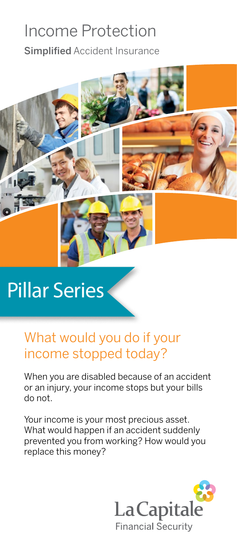## Income Protection

Simplified Accident Insurance



# Pillar Series

### What would you do if your income stopped today?

When you are disabled because of an accident or an injury, your income stops but your bills do not.

Your income is your most precious asset. What would happen if an accident suddenly prevented you from working? How would you replace this money?